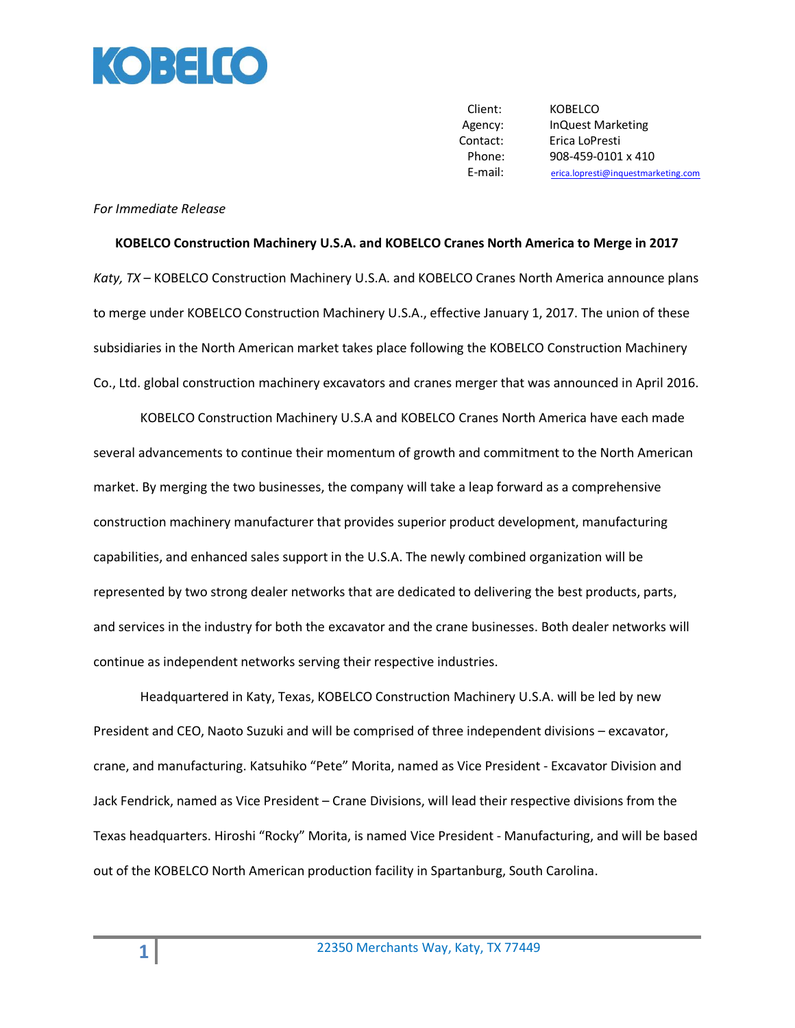

Client: KOBELCO Agency: InQuest Marketing Contact: Erica LoPresti Phone: 908-459-0101 x 410 E-mail: [erica.lopresti@inquestmarketing.com](mailto:erica.lopresti@inquestmarketing.com)

## *For Immediate Release*

## **KOBELCO Construction Machinery U.S.A. and KOBELCO Cranes North America to Merge in 2017**

*Katy, TX* – KOBELCO Construction Machinery U.S.A. and KOBELCO Cranes North America announce plans to merge under KOBELCO Construction Machinery U.S.A., effective January 1, 2017. The union of these subsidiaries in the North American market takes place following the KOBELCO Construction Machinery Co., Ltd. global construction machinery excavators and cranes merger that was announced in April 2016.

KOBELCO Construction Machinery U.S.A and KOBELCO Cranes North America have each made several advancements to continue their momentum of growth and commitment to the North American market. By merging the two businesses, the company will take a leap forward as a comprehensive construction machinery manufacturer that provides superior product development, manufacturing capabilities, and enhanced sales support in the U.S.A. The newly combined organization will be represented by two strong dealer networks that are dedicated to delivering the best products, parts, and services in the industry for both the excavator and the crane businesses. Both dealer networks will continue as independent networks serving their respective industries.

Headquartered in Katy, Texas, KOBELCO Construction Machinery U.S.A. will be led by new President and CEO, Naoto Suzuki and will be comprised of three independent divisions – excavator, crane, and manufacturing. Katsuhiko "Pete" Morita, named as Vice President - Excavator Division and Jack Fendrick, named as Vice President – Crane Divisions, will lead their respective divisions from the Texas headquarters. Hiroshi "Rocky" Morita, is named Vice President - Manufacturing, and will be based out of the KOBELCO North American production facility in Spartanburg, South Carolina.